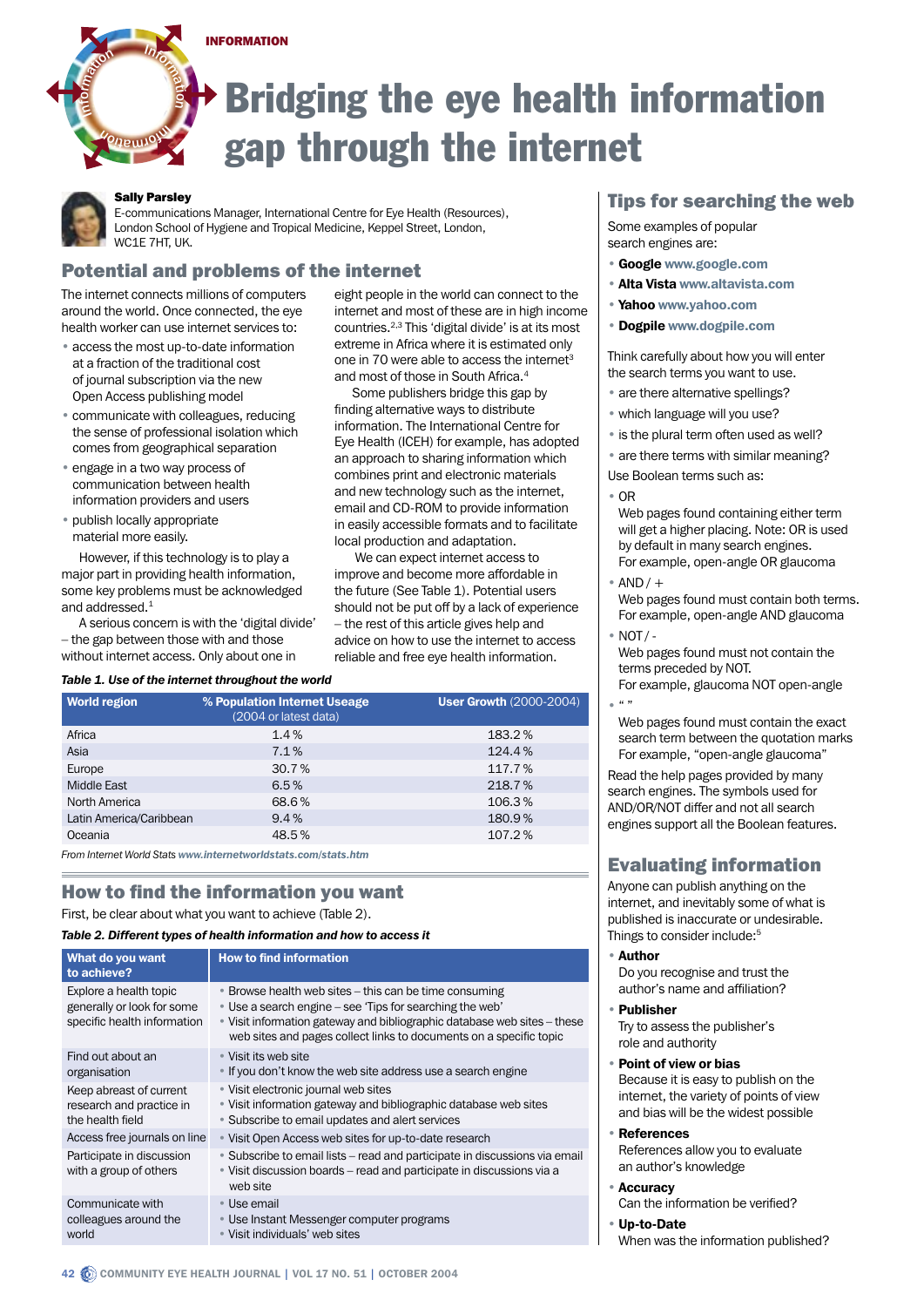#### INFORMATION

# Bridging the eye health information gap through the internet

#### Sally Parsley

40 (peulok

Inioringen

Information

o n n<sup>I</sup>

E-communications Manager, International Centre for Eye Health (Resources), London School of Hygiene and Tropical Medicine, Keppel Street, London, WC1E 7HT, UK.

## Potential and problems of the internet

The internet connects millions of computers around the world. Once connected, the eye health worker can use internet services to:

- access the most up-to-date information at a fraction of the traditional cost of journal subscription via the new Open Access publishing model
- communicate with colleagues, reducing the sense of professional isolation which comes from geographical separation
- engage in a two way process of communication between health information providers and users
- publish locally appropriate material more easily.

However, if this technology is to play a major part in providing health information, some key problems must be acknowledged and addressed.<sup>1</sup>

A serious concern is with the 'digital divide' – the gap between those with and those without internet access. Only about one in

eight people in the world can connect to the internet and most of these are in high income countries.2,3 This 'digital divide' is at its most extreme in Africa where it is estimated only one in 70 were able to access the internet<sup>3</sup> and most of those in South Africa.<sup>4</sup>

Some publishers bridge this gap by finding alternative ways to distribute information. The International Centre for Eye Health (ICEH) for example, has adopted an approach to sharing information which combines print and electronic materials and new technology such as the internet, email and CD-ROM to provide information in easily accessible formats and to facilitate local production and adaptation.

 We can expect internet access to improve and become more affordable in the future (See Table 1). Potential users should not be put off by a lack of experience – the rest of this article gives help and advice on how to use the internet to access reliable and free eye health information.

#### *Table 1. Use of the internet throughout the world*

| <b>World region</b>     | % Population Internet Useage<br>(2004 or latest data) | <b>User Growth (2000-2004)</b> |
|-------------------------|-------------------------------------------------------|--------------------------------|
| Africa                  | 1.4%                                                  | 183.2%                         |
| Asia                    | 7.1%                                                  | 124.4%                         |
| Europe                  | 30.7%                                                 | 117.7%                         |
| Middle East             | 6.5%                                                  | 218.7%                         |
| North America           | 68.6%                                                 | 106.3%                         |
| Latin America/Caribbean | 9.4%                                                  | 180.9%                         |
| Oceania                 | 48.5%                                                 | 107.2%                         |

*From Internet World Stats www.internetworldstats.com/stats.htm*

# How to find the information you want

First, be clear about what you want to achieve (Table 2).

#### *Table 2. Different types of health information and how to access it*

| What do you want<br>to achieve?                                                     | <b>How to find information</b>                                                                                                                                                                                                                                       |
|-------------------------------------------------------------------------------------|----------------------------------------------------------------------------------------------------------------------------------------------------------------------------------------------------------------------------------------------------------------------|
| Explore a health topic<br>generally or look for some<br>specific health information | • Browse health web sites – this can be time consuming<br>• Use a search engine – see 'Tips for searching the web'<br>. Visit information gateway and bibliographic database web sites - these<br>web sites and pages collect links to documents on a specific topic |
| Find out about an<br>organisation                                                   | • Visit its web site<br>• If you don't know the web site address use a search engine                                                                                                                                                                                 |
| Keep abreast of current<br>research and practice in<br>the health field             | • Visit electronic journal web sites<br>• Visit information gateway and bibliographic database web sites<br>• Subscribe to email updates and alert services                                                                                                          |
| Access free journals on line                                                        | • Visit Open Access web sites for up-to-date research                                                                                                                                                                                                                |
| Participate in discussion<br>with a group of others                                 | • Subscribe to email lists – read and participate in discussions via email<br>• Visit discussion boards – read and participate in discussions via a<br>web site                                                                                                      |
| Communicate with<br>colleagues around the<br>world                                  | • Use email<br>• Use Instant Messenger computer programs<br>Visit individuals' web sites                                                                                                                                                                             |

# Tips for searching the web

Some examples of popular search engines are:

- Google www.google.com
- Alta Vista www.altavista.com
- Yahoo www.yahoo.com
- Dogpile www.dogpile.com

Think carefully about how you will enter the search terms you want to use.

- are there alternative spellings?
- which language will you use?
- is the plural term often used as well?
- are there terms with similar meaning?

Use Boolean terms such as:

- OR
- Web pages found containing either term will get a higher placing. Note: OR is used by default in many search engines. For example, open-angle OR glaucoma
- $*$  AND  $/$  + Web pages found must contain both terms. For example, open-angle AND glaucoma
- NOT / Web pages found must not contain the terms preceded by NOT.
- For example, glaucoma NOT open-angle  $^{\circ}$   $^{\prime\prime}$  "
- Web pages found must contain the exact search term between the quotation marks For example, "open-angle glaucoma"

Read the help pages provided by many search engines. The symbols used for AND/OR/NOT differ and not all search engines support all the Boolean features.

# Evaluating information

Anyone can publish anything on the internet, and inevitably some of what is published is inaccurate or undesirable. Things to consider include:<sup>5</sup>

• Author

Do you recognise and trust the author's name and affiliation?

**Publisher** 

Try to assess the publisher's role and authority

• Point of view or bias

Because it is easy to publish on the internet, the variety of points of view and bias will be the widest possible

• References

References allow you to evaluate an author's knowledge

• Accuracy

Can the information be verified?

Up-to-Date

When was the information published?